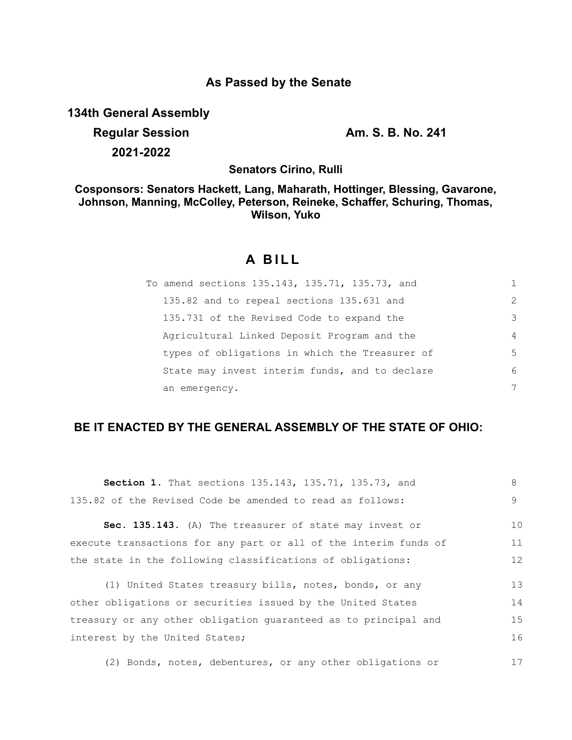## **As Passed by the Senate**

**134th General Assembly**

**Regular Session Am. S. B. No. 241 2021-2022**

**Senators Cirino, Rulli**

**Cosponsors: Senators Hackett, Lang, Maharath, Hottinger, Blessing, Gavarone, Johnson, Manning, McColley, Peterson, Reineke, Schaffer, Schuring, Thomas, Wilson, Yuko**

# **A BILL**

| To amend sections 135.143, 135.71, 135.73, and |                |
|------------------------------------------------|----------------|
| 135.82 and to repeal sections 135.631 and      | $\mathcal{L}$  |
| 135.731 of the Revised Code to expand the      | 3              |
| Agricultural Linked Deposit Program and the    | $\overline{4}$ |
| types of obligations in which the Treasurer of | 5              |
| State may invest interim funds, and to declare | 6              |
| an emergency.                                  | 7              |

## **BE IT ENACTED BY THE GENERAL ASSEMBLY OF THE STATE OF OHIO:**

| <b>Section 1.</b> That sections 135.143, 135.71, 135.73, and     | 8  |
|------------------------------------------------------------------|----|
| 135.82 of the Revised Code be amended to read as follows:        | 9  |
| Sec. 135.143. (A) The treasurer of state may invest or           | 10 |
| execute transactions for any part or all of the interim funds of | 11 |
| the state in the following classifications of obligations:       | 12 |
|                                                                  |    |
| (1) United States treasury bills, notes, bonds, or any           | 13 |
| other obligations or securities issued by the United States      | 14 |
| treasury or any other obligation guaranteed as to principal and  | 15 |
| interest by the United States;                                   | 16 |
| (2) Bonds, notes, debentures, or any other obligations or        | 17 |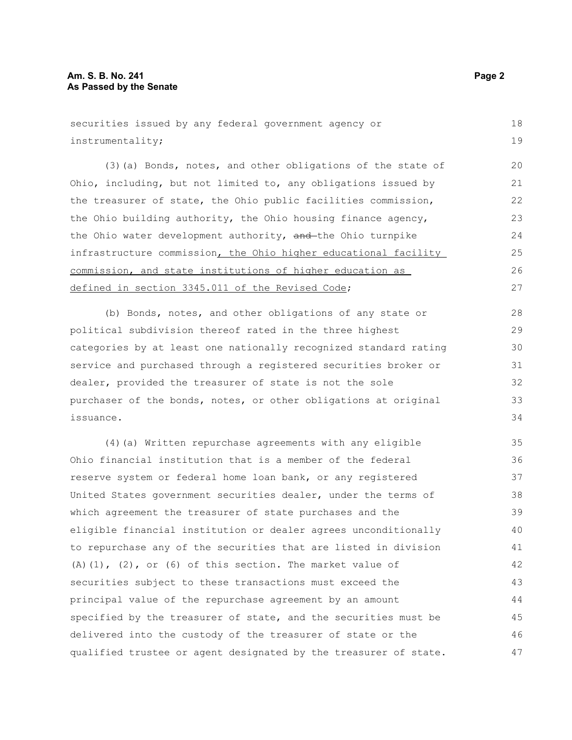#### **Am. S. B. No. 241 Page 2 As Passed by the Senate**

```
securities issued by any federal government agency or
instrumentality; 
      (3)(a) Bonds, notes, and other obligations of the state of
Ohio, including, but not limited to, any obligations issued by
the treasurer of state, the Ohio public facilities commission,
the Ohio building authority, the Ohio housing finance agency,
the Ohio water development authority, and the Ohio turnpike
infrastructure commission, the Ohio higher educational facility
commission, and state institutions of higher education as
defined in section 3345.011 of the Revised Code;
      (b) Bonds, notes, and other obligations of any state or
political subdivision thereof rated in the three highest
categories by at least one nationally recognized standard rating
service and purchased through a registered securities broker or
dealer, provided the treasurer of state is not the sole
purchaser of the bonds, notes, or other obligations at original
issuance. 
      (4)(a) Written repurchase agreements with any eligible
Ohio financial institution that is a member of the federal
reserve system or federal home loan bank, or any registered
United States government securities dealer, under the terms of
which agreement the treasurer of state purchases and the
eligible financial institution or dealer agrees unconditionally
to repurchase any of the securities that are listed in division
(A)(1), (2), or (6) of this section. The market value of
securities subject to these transactions must exceed the
principal value of the repurchase agreement by an amount
specified by the treasurer of state, and the securities must be
delivered into the custody of the treasurer of state or the
                                                                            18
                                                                            19
                                                                            20
                                                                            21
                                                                            22
                                                                            23
                                                                            2425
                                                                            26
                                                                            27
                                                                            28
                                                                            29
                                                                            30
                                                                            31
                                                                            32
                                                                            33
                                                                            34
                                                                            35
                                                                            36
                                                                            37
                                                                            38
                                                                            39
                                                                            40
                                                                            41
                                                                            42
                                                                            43
                                                                            44
                                                                            45
                                                                            46
```
qualified trustee or agent designated by the treasurer of state.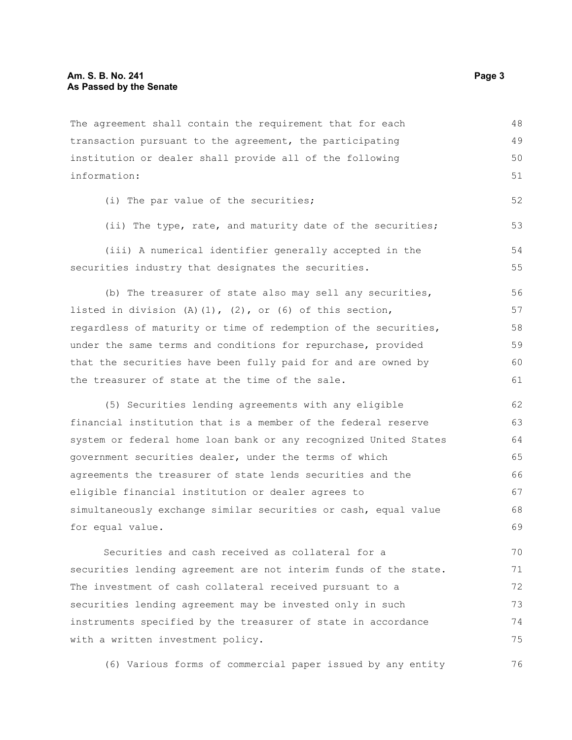The agreement shall contain the requirement that for each transaction pursuant to the agreement, the participating institution or dealer shall provide all of the following information: (i) The par value of the securities; (ii) The type, rate, and maturity date of the securities; (iii) A numerical identifier generally accepted in the securities industry that designates the securities. (b) The treasurer of state also may sell any securities, listed in division (A)(1), (2), or (6) of this section, regardless of maturity or time of redemption of the securities, under the same terms and conditions for repurchase, provided that the securities have been fully paid for and are owned by the treasurer of state at the time of the sale. (5) Securities lending agreements with any eligible financial institution that is a member of the federal reserve system or federal home loan bank or any recognized United States government securities dealer, under the terms of which agreements the treasurer of state lends securities and the eligible financial institution or dealer agrees to simultaneously exchange similar securities or cash, equal value for equal value. Securities and cash received as collateral for a securities lending agreement are not interim funds of the state. 48 49 50 51 52 53 54 55 56 57 58 59 60 61 62 63 64 65 66 67 68 69 70 71

The investment of cash collateral received pursuant to a securities lending agreement may be invested only in such instruments specified by the treasurer of state in accordance with a written investment policy. 72 73 74 75

(6) Various forms of commercial paper issued by any entity 76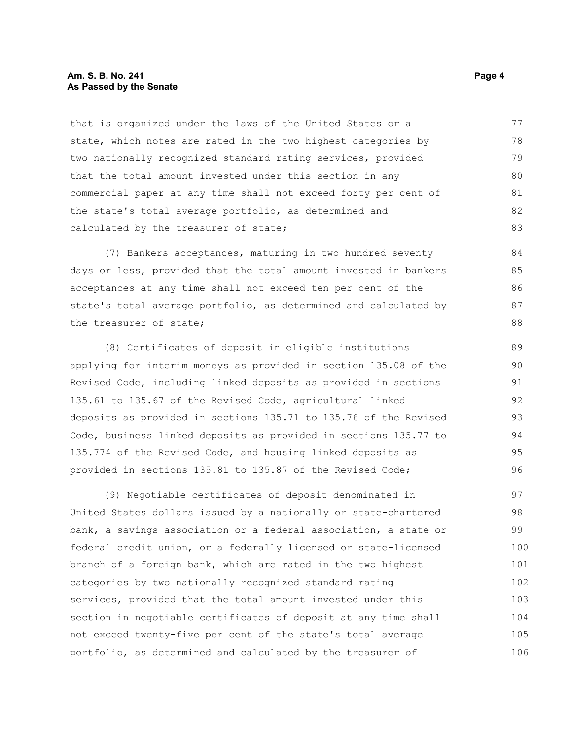#### **Am. S. B. No. 241 Page 4 As Passed by the Senate**

that is organized under the laws of the United States or a state, which notes are rated in the two highest categories by two nationally recognized standard rating services, provided that the total amount invested under this section in any commercial paper at any time shall not exceed forty per cent of the state's total average portfolio, as determined and calculated by the treasurer of state; 77 78 79 80 81 82 83

(7) Bankers acceptances, maturing in two hundred seventy days or less, provided that the total amount invested in bankers acceptances at any time shall not exceed ten per cent of the state's total average portfolio, as determined and calculated by the treasurer of state;

(8) Certificates of deposit in eligible institutions applying for interim moneys as provided in section 135.08 of the Revised Code, including linked deposits as provided in sections 135.61 to 135.67 of the Revised Code, agricultural linked deposits as provided in sections 135.71 to 135.76 of the Revised Code, business linked deposits as provided in sections 135.77 to 135.774 of the Revised Code, and housing linked deposits as provided in sections 135.81 to 135.87 of the Revised Code;

(9) Negotiable certificates of deposit denominated in United States dollars issued by a nationally or state-chartered bank, a savings association or a federal association, a state or federal credit union, or a federally licensed or state-licensed branch of a foreign bank, which are rated in the two highest categories by two nationally recognized standard rating services, provided that the total amount invested under this section in negotiable certificates of deposit at any time shall not exceed twenty-five per cent of the state's total average portfolio, as determined and calculated by the treasurer of 97 98 99 100 101 102 103 104 105 106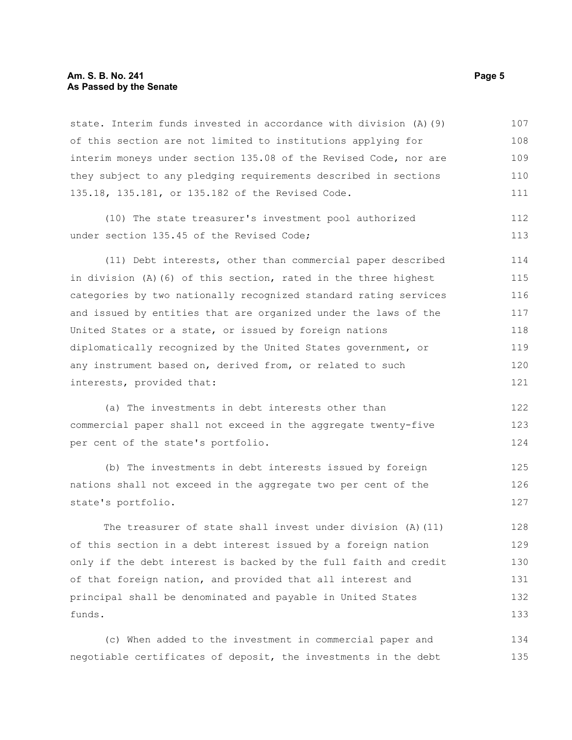#### **Am. S. B. No. 241 Page 5 As Passed by the Senate**

state. Interim funds invested in accordance with division (A)(9) of this section are not limited to institutions applying for interim moneys under section 135.08 of the Revised Code, nor are they subject to any pledging requirements described in sections 135.18, 135.181, or 135.182 of the Revised Code. 107 108 109 110 111

(10) The state treasurer's investment pool authorized under section 135.45 of the Revised Code; 112 113

(11) Debt interests, other than commercial paper described in division (A)(6) of this section, rated in the three highest categories by two nationally recognized standard rating services and issued by entities that are organized under the laws of the United States or a state, or issued by foreign nations diplomatically recognized by the United States government, or any instrument based on, derived from, or related to such interests, provided that: 114 115 116 117 118 119 120 121

(a) The investments in debt interests other than commercial paper shall not exceed in the aggregate twenty-five per cent of the state's portfolio. 122 123 124

(b) The investments in debt interests issued by foreign nations shall not exceed in the aggregate two per cent of the state's portfolio. 125 126 127

The treasurer of state shall invest under division (A)(11) of this section in a debt interest issued by a foreign nation only if the debt interest is backed by the full faith and credit of that foreign nation, and provided that all interest and principal shall be denominated and payable in United States funds. 128 129 130 131 132 133

(c) When added to the investment in commercial paper and negotiable certificates of deposit, the investments in the debt 134 135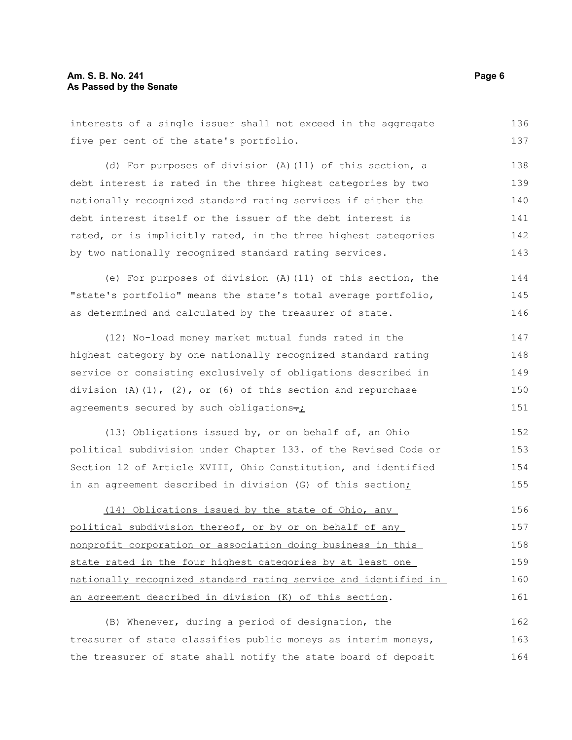interests of a single issuer shall not exceed in the aggregate five per cent of the state's portfolio. (d) For purposes of division (A)(11) of this section, a debt interest is rated in the three highest categories by two nationally recognized standard rating services if either the debt interest itself or the issuer of the debt interest is rated, or is implicitly rated, in the three highest categories by two nationally recognized standard rating services. (e) For purposes of division (A)(11) of this section, the "state's portfolio" means the state's total average portfolio, as determined and calculated by the treasurer of state. (12) No-load money market mutual funds rated in the highest category by one nationally recognized standard rating service or consisting exclusively of obligations described in division  $(A)$   $(1)$ ,  $(2)$ , or  $(6)$  of this section and repurchase agreements secured by such obligations $\div_L$ (13) Obligations issued by, or on behalf of, an Ohio political subdivision under Chapter 133. of the Revised Code or Section 12 of Article XVIII, Ohio Constitution, and identified in an agreement described in division (G) of this section; (14) Obligations issued by the state of Ohio, any political subdivision thereof, or by or on behalf of any nonprofit corporation or association doing business in this state rated in the four highest categories by at least one nationally recognized standard rating service and identified in an agreement described in division (K) of this section. (B) Whenever, during a period of designation, the treasurer of state classifies public moneys as interim moneys, 136 137 138 139 140 141 142 143 144 145 146 147 148 149 150 151 152 153 154 155 156 157 158 159 160 161 162 163

the treasurer of state shall notify the state board of deposit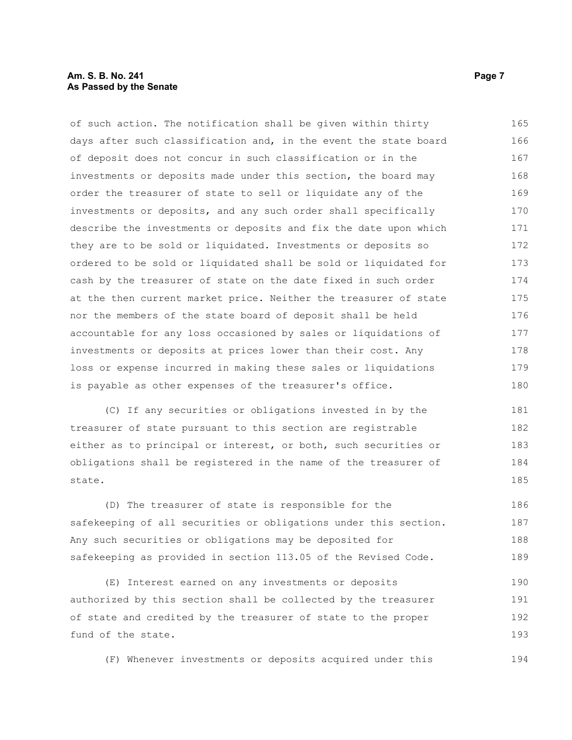#### **Am. S. B. No. 241 Page 7 Page 7 Page 7 Page 7 Page 7 Page 7 Page 7 Page 7 Page 7 Page 7 Page 7 As Passed by the Senate**

of such action. The notification shall be given within thirty days after such classification and, in the event the state board of deposit does not concur in such classification or in the investments or deposits made under this section, the board may order the treasurer of state to sell or liquidate any of the investments or deposits, and any such order shall specifically describe the investments or deposits and fix the date upon which they are to be sold or liquidated. Investments or deposits so ordered to be sold or liquidated shall be sold or liquidated for cash by the treasurer of state on the date fixed in such order at the then current market price. Neither the treasurer of state nor the members of the state board of deposit shall be held accountable for any loss occasioned by sales or liquidations of investments or deposits at prices lower than their cost. Any loss or expense incurred in making these sales or liquidations is payable as other expenses of the treasurer's office. 165 166 167 168 169 170 171 172 173 174 175 176 177 178 179 180

(C) If any securities or obligations invested in by the treasurer of state pursuant to this section are registrable either as to principal or interest, or both, such securities or obligations shall be registered in the name of the treasurer of state. 181 182 183 184 185

(D) The treasurer of state is responsible for the safekeeping of all securities or obligations under this section. Any such securities or obligations may be deposited for safekeeping as provided in section 113.05 of the Revised Code. 186 187 188 189

(E) Interest earned on any investments or deposits authorized by this section shall be collected by the treasurer of state and credited by the treasurer of state to the proper fund of the state. 190 191 192 193

(F) Whenever investments or deposits acquired under this 194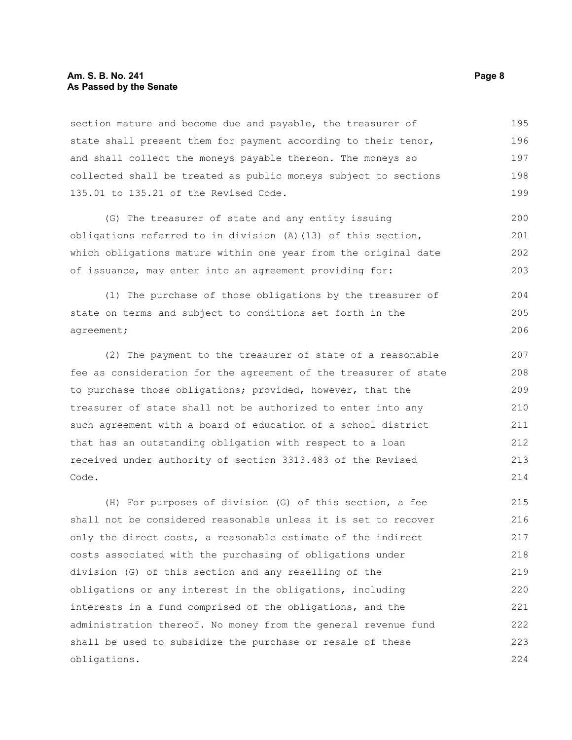#### **Am. S. B. No. 241 Page 8 As Passed by the Senate**

section mature and become due and payable, the treasurer of state shall present them for payment according to their tenor, and shall collect the moneys payable thereon. The moneys so collected shall be treated as public moneys subject to sections 135.01 to 135.21 of the Revised Code. 195 196 197 198 199

(G) The treasurer of state and any entity issuing obligations referred to in division (A)(13) of this section, which obligations mature within one year from the original date of issuance, may enter into an agreement providing for: 200 201 202 203

(1) The purchase of those obligations by the treasurer of state on terms and subject to conditions set forth in the agreement; 204 205 206

(2) The payment to the treasurer of state of a reasonable fee as consideration for the agreement of the treasurer of state to purchase those obligations; provided, however, that the treasurer of state shall not be authorized to enter into any such agreement with a board of education of a school district that has an outstanding obligation with respect to a loan received under authority of section 3313.483 of the Revised Code.

(H) For purposes of division (G) of this section, a fee shall not be considered reasonable unless it is set to recover only the direct costs, a reasonable estimate of the indirect costs associated with the purchasing of obligations under division (G) of this section and any reselling of the obligations or any interest in the obligations, including interests in a fund comprised of the obligations, and the administration thereof. No money from the general revenue fund shall be used to subsidize the purchase or resale of these obligations. 215 216 217 218 219 220 221 222 223 224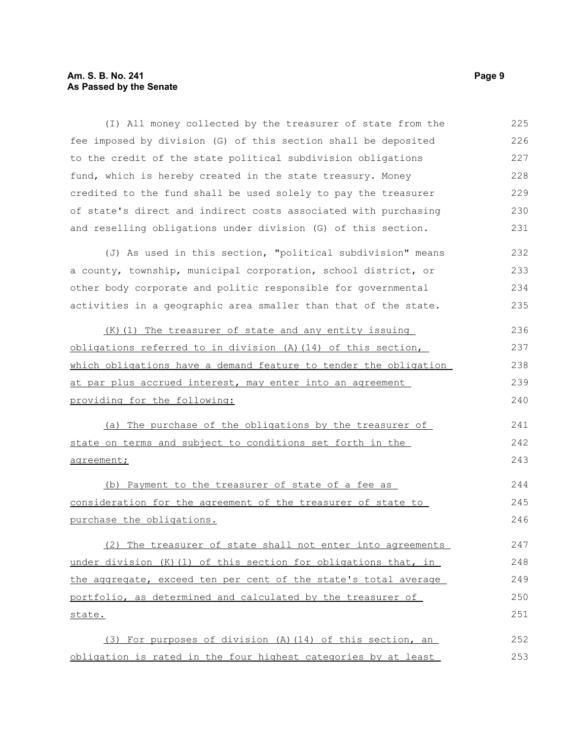### **Am. S. B. No. 241** Page 9 **As Passed by the Senate**

| (I) All money collected by the treasurer of state from the       | 225 |
|------------------------------------------------------------------|-----|
| fee imposed by division (G) of this section shall be deposited   | 226 |
| to the credit of the state political subdivision obligations     | 227 |
| fund, which is hereby created in the state treasury. Money       | 228 |
| credited to the fund shall be used solely to pay the treasurer   | 229 |
| of state's direct and indirect costs associated with purchasing  | 230 |
| and reselling obligations under division (G) of this section.    | 231 |
| (J) As used in this section, "political subdivision" means       | 232 |
| a county, township, municipal corporation, school district, or   | 233 |
| other body corporate and politic responsible for governmental    | 234 |
| activities in a geographic area smaller than that of the state.  | 235 |
| (K) (1) The treasurer of state and any entity issuing            | 236 |
| obligations referred to in division (A) (14) of this section,    | 237 |
| which obligations have a demand feature to tender the obligation | 238 |
| at par plus accrued interest, may enter into an agreement        | 239 |
| providing for the following:                                     | 240 |
| (a) The purchase of the obligations by the treasurer of          | 241 |
| state on terms and subject to conditions set forth in the        | 242 |
| agreement;                                                       | 243 |
| (b) Payment to the treasurer of state of a fee as                | 244 |
| consideration for the agreement of the treasurer of state to     | 245 |
| purchase the obligations.                                        | 246 |
| (2) The treasurer of state shall not enter into agreements       | 247 |
| under division (K) (1) of this section for obligations that, in  | 248 |
| the aggregate, exceed ten per cent of the state's total average  | 249 |
| portfolio, as determined and calculated by the treasurer of      | 250 |
| state.                                                           | 251 |
| (3) For purposes of division (A) (14) of this section, an        | 252 |

obligation is rated in the four highest categories by at least 253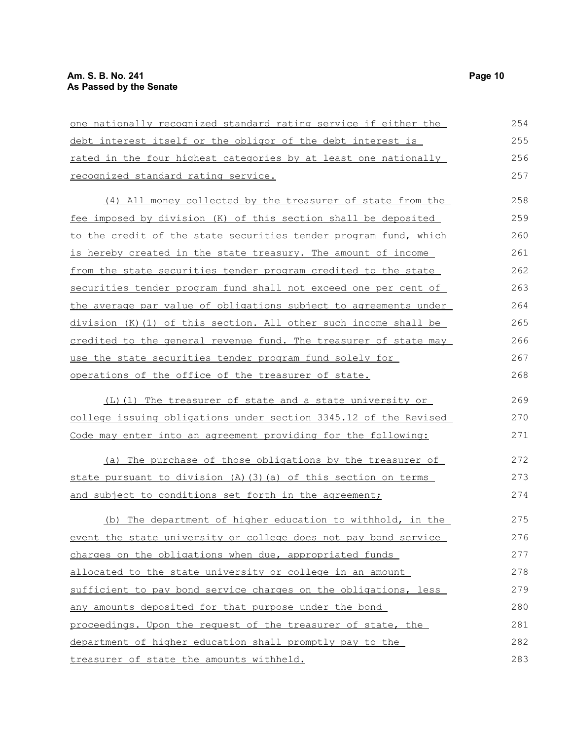| one nationally recognized standard rating service if either the  |     |
|------------------------------------------------------------------|-----|
| debt interest itself or the obligor of the debt interest is      | 255 |
| rated in the four highest categories by at least one nationally  | 256 |
| recognized standard rating service.                              | 257 |
| (4) All money collected by the treasurer of state from the       | 258 |
| fee imposed by division (K) of this section shall be deposited   | 259 |
| to the credit of the state securities tender program fund, which | 260 |
| is hereby created in the state treasury. The amount of income    | 261 |
| from the state securities tender program credited to the state   | 262 |
| securities tender program fund shall not exceed one per cent of  | 263 |
| the average par value of obligations subject to agreements under | 264 |
| division (K) (1) of this section. All other such income shall be | 265 |
| credited to the general revenue fund. The treasurer of state may | 266 |
| use the state securities tender program fund solely for          | 267 |
| operations of the office of the treasurer of state.              |     |
| (L)(1) The treasurer of state and a state university or          | 269 |
| college issuing obligations under section 3345.12 of the Revised | 270 |
| Code may enter into an agreement providing for the following:    | 271 |
| (a) The purchase of those obligations by the treasurer of        | 272 |
| state pursuant to division (A) (3) (a) of this section on terms  | 273 |
| and subject to conditions set forth in the agreement;            | 274 |
| (b) The department of higher education to withhold, in the       | 275 |
| event the state university or college does not pay bond service  | 276 |
| charges on the obligations when due, appropriated funds          | 277 |
| allocated to the state university or college in an amount        | 278 |
| sufficient to pay bond service charges on the obligations, less  | 279 |
| any amounts deposited for that purpose under the bond            | 280 |
| proceedings. Upon the request of the treasurer of state, the     | 281 |
| department of higher education shall promptly pay to the         | 282 |
| treasurer of state the amounts withheld.                         | 283 |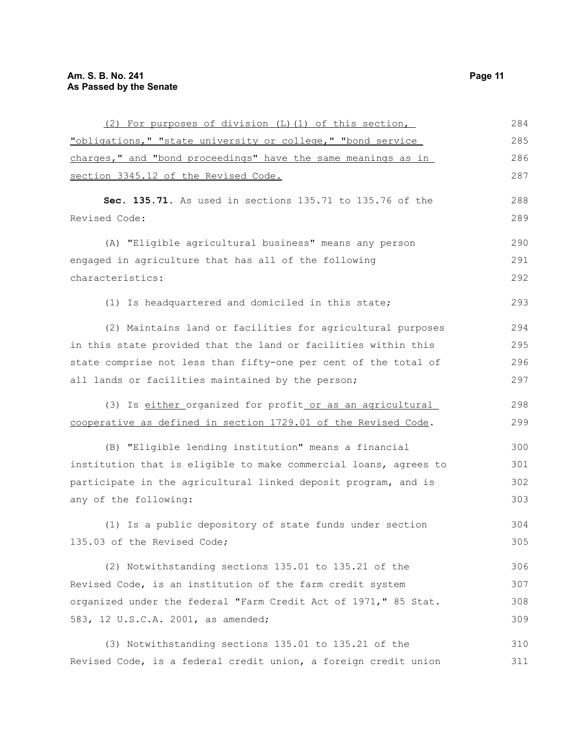| (2) For purposes of division (L) (1) of this section,            | 284 |
|------------------------------------------------------------------|-----|
| "obligations," "state university or college," "bond service      | 285 |
| charges," and "bond proceedings" have the same meanings as in    | 286 |
| section 3345.12 of the Revised Code.                             | 287 |
| Sec. 135.71. As used in sections 135.71 to 135.76 of the         | 288 |
| Revised Code:                                                    | 289 |
| (A) "Eligible agricultural business" means any person            | 290 |
| engaged in agriculture that has all of the following             | 291 |
| characteristics:                                                 | 292 |
| (1) Is headquartered and domiciled in this state;                | 293 |
| (2) Maintains land or facilities for agricultural purposes       | 294 |
| in this state provided that the land or facilities within this   | 295 |
| state comprise not less than fifty-one per cent of the total of  | 296 |
| all lands or facilities maintained by the person;                | 297 |
| (3) Is either organized for profit or as an agricultural         | 298 |
| cooperative as defined in section 1729.01 of the Revised Code.   | 299 |
| (B) "Eligible lending institution" means a financial             | 300 |
| institution that is eligible to make commercial loans, agrees to | 301 |
| participate in the agricultural linked deposit program, and is   | 302 |
| any of the following:                                            | 303 |
| (1) Is a public depository of state funds under section          | 304 |
| 135.03 of the Revised Code;                                      | 305 |
| (2) Notwithstanding sections 135.01 to 135.21 of the             | 306 |
| Revised Code, is an institution of the farm credit system        | 307 |
| organized under the federal "Farm Credit Act of 1971," 85 Stat.  | 308 |
| 583, 12 U.S.C.A. 2001, as amended;                               | 309 |
| (3) Notwithstanding sections 135.01 to 135.21 of the             | 310 |
| Revised Code, is a federal credit union, a foreign credit union  | 311 |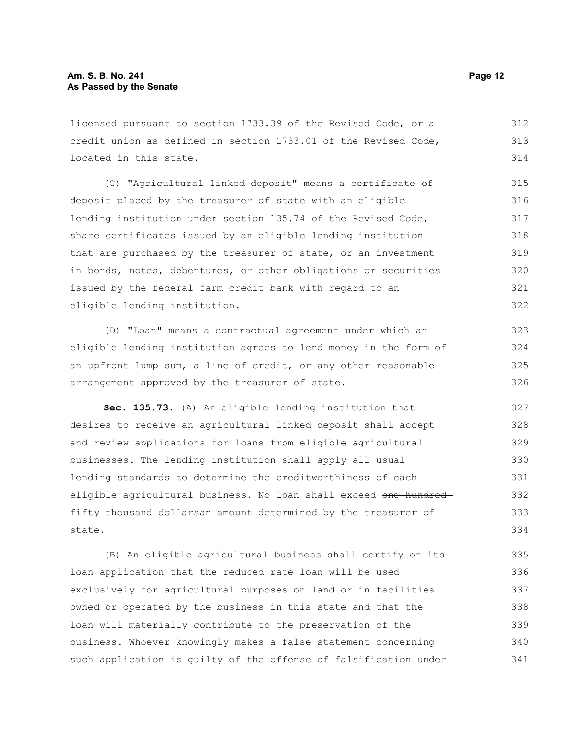licensed pursuant to section 1733.39 of the Revised Code, or a credit union as defined in section 1733.01 of the Revised Code, located in this state. 312 313 314

(C) "Agricultural linked deposit" means a certificate of deposit placed by the treasurer of state with an eligible lending institution under section 135.74 of the Revised Code, share certificates issued by an eligible lending institution that are purchased by the treasurer of state, or an investment in bonds, notes, debentures, or other obligations or securities issued by the federal farm credit bank with regard to an eligible lending institution. 315 316 317 318 319 320 321 322

(D) "Loan" means a contractual agreement under which an eligible lending institution agrees to lend money in the form of an upfront lump sum, a line of credit, or any other reasonable arrangement approved by the treasurer of state. 323 324 325 326

**Sec. 135.73.** (A) An eligible lending institution that desires to receive an agricultural linked deposit shall accept and review applications for loans from eligible agricultural businesses. The lending institution shall apply all usual lending standards to determine the creditworthiness of each eligible agricultural business. No loan shall exceed one hundredfifty thousand dollarsan amount determined by the treasurer of state. 327 328 329 330 331 332 333 334

(B) An eligible agricultural business shall certify on its loan application that the reduced rate loan will be used exclusively for agricultural purposes on land or in facilities owned or operated by the business in this state and that the loan will materially contribute to the preservation of the business. Whoever knowingly makes a false statement concerning such application is guilty of the offense of falsification under 335 336 337 338 339 340 341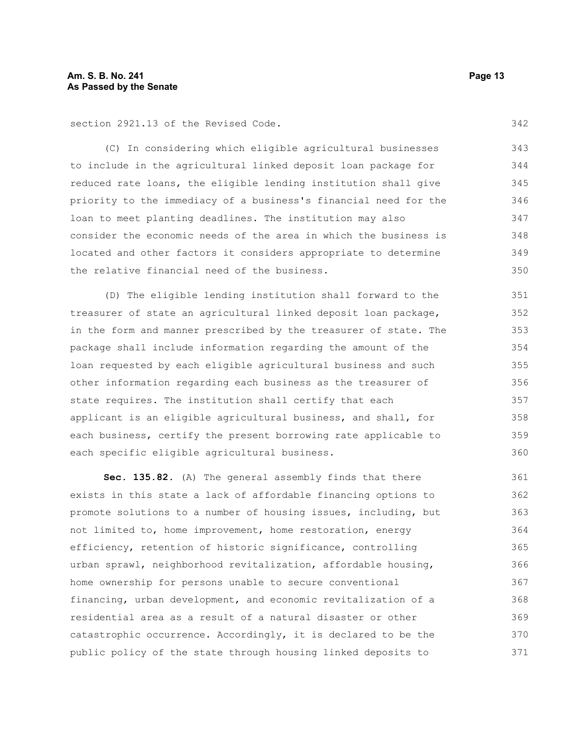section 2921.13 of the Revised Code.

(C) In considering which eligible agricultural businesses to include in the agricultural linked deposit loan package for reduced rate loans, the eligible lending institution shall give priority to the immediacy of a business's financial need for the loan to meet planting deadlines. The institution may also consider the economic needs of the area in which the business is located and other factors it considers appropriate to determine the relative financial need of the business. 343 344 345 346 347 348 349 350

(D) The eligible lending institution shall forward to the treasurer of state an agricultural linked deposit loan package, in the form and manner prescribed by the treasurer of state. The package shall include information regarding the amount of the loan requested by each eligible agricultural business and such other information regarding each business as the treasurer of state requires. The institution shall certify that each applicant is an eligible agricultural business, and shall, for each business, certify the present borrowing rate applicable to each specific eligible agricultural business. 351 352 353 354 355 356 357 358 359 360

**Sec. 135.82.** (A) The general assembly finds that there exists in this state a lack of affordable financing options to promote solutions to a number of housing issues, including, but not limited to, home improvement, home restoration, energy efficiency, retention of historic significance, controlling urban sprawl, neighborhood revitalization, affordable housing, home ownership for persons unable to secure conventional financing, urban development, and economic revitalization of a residential area as a result of a natural disaster or other catastrophic occurrence. Accordingly, it is declared to be the public policy of the state through housing linked deposits to 361 362 363 364 365 366 367 368 369 370 371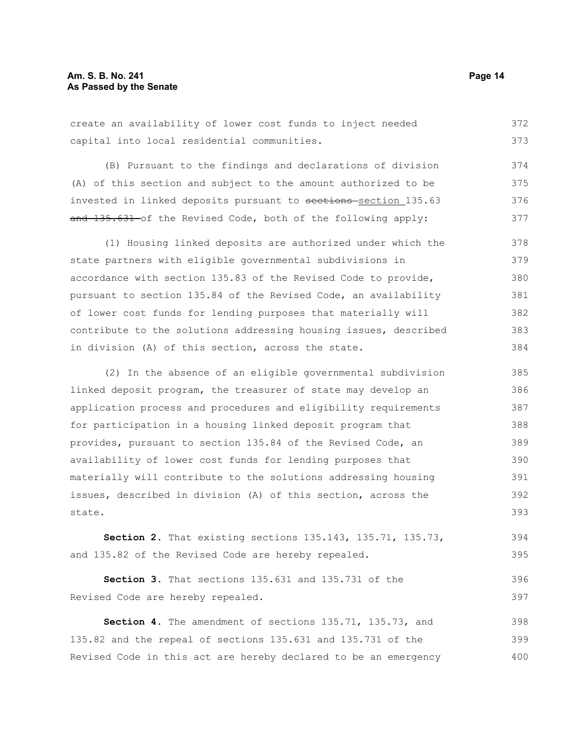create an availability of lower cost funds to inject needed capital into local residential communities. 372 373

(B) Pursuant to the findings and declarations of division (A) of this section and subject to the amount authorized to be invested in linked deposits pursuant to sections-section 135.63 and 135.631 of the Revised Code, both of the following apply: 374 375 376 377

(1) Housing linked deposits are authorized under which the state partners with eligible governmental subdivisions in accordance with section 135.83 of the Revised Code to provide, pursuant to section 135.84 of the Revised Code, an availability of lower cost funds for lending purposes that materially will contribute to the solutions addressing housing issues, described in division (A) of this section, across the state. 378 379 380 381 382 383 384

(2) In the absence of an eligible governmental subdivision linked deposit program, the treasurer of state may develop an application process and procedures and eligibility requirements for participation in a housing linked deposit program that provides, pursuant to section 135.84 of the Revised Code, an availability of lower cost funds for lending purposes that materially will contribute to the solutions addressing housing issues, described in division (A) of this section, across the state. 385 386 387 388 389 390 391 392 393

**Section 2.** That existing sections 135.143, 135.71, 135.73, and 135.82 of the Revised Code are hereby repealed. 394 395

**Section 3.** That sections 135.631 and 135.731 of the Revised Code are hereby repealed. 396 397

**Section 4.** The amendment of sections 135.71, 135.73, and 135.82 and the repeal of sections 135.631 and 135.731 of the Revised Code in this act are hereby declared to be an emergency 398 399 400